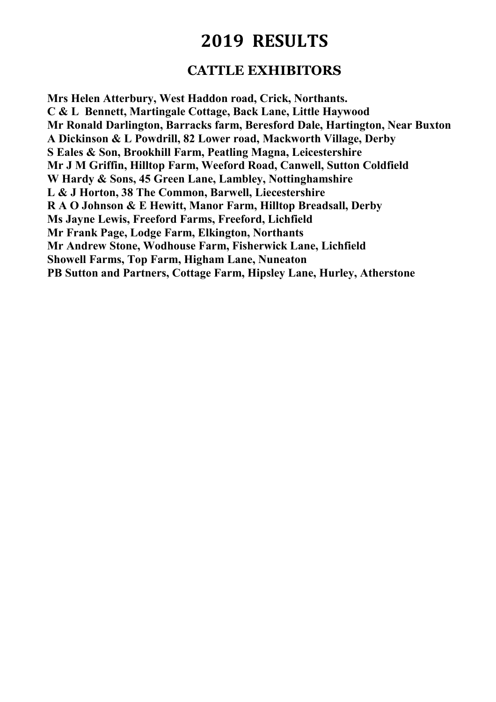### **CATTLE EXHIBITORS**

**Mrs Helen Atterbury, West Haddon road, Crick, Northants. C & L Bennett, Martingale Cottage, Back Lane, Little Haywood Mr Ronald Darlington, Barracks farm, Beresford Dale, Hartington, Near Buxton A Dickinson & L Powdrill, 82 Lower road, Mackworth Village, Derby S Eales & Son, Brookhill Farm, Peatling Magna, Leicestershire Mr J M Griffin, Hilltop Farm, Weeford Road, Canwell, Sutton Coldfield W Hardy & Sons, 45 Green Lane, Lambley, Nottinghamshire L & J Horton, 38 The Common, Barwell, Liecestershire R A O Johnson & E Hewitt, Manor Farm, Hilltop Breadsall, Derby Ms Jayne Lewis, Freeford Farms, Freeford, Lichfield Mr Frank Page, Lodge Farm, Elkington, Northants Mr Andrew Stone, Wodhouse Farm, Fisherwick Lane, Lichfield Showell Farms, Top Farm, Higham Lane, Nuneaton PB Sutton and Partners, Cottage Farm, Hipsley Lane, Hurley, Atherstone**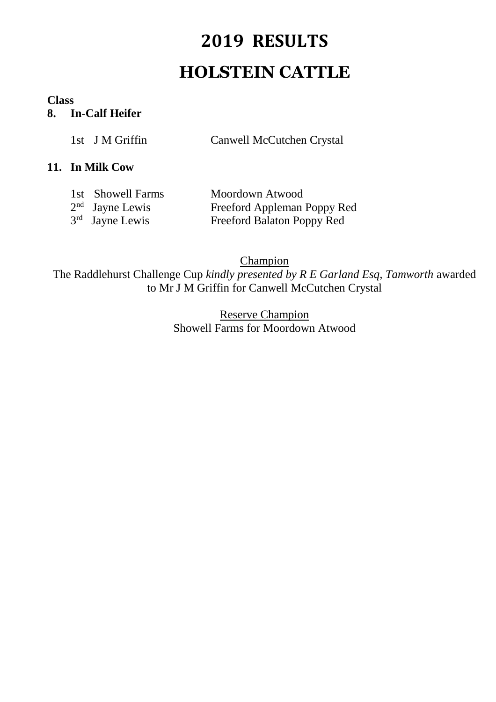# **2019 RESULTS HOLSTEIN CATTLE**

#### **Class**

### **8. In-Calf Heifer**

|  | 1st J M Griffin | Canwell McCutchen Crystal |  |
|--|-----------------|---------------------------|--|
|--|-----------------|---------------------------|--|

#### **11. In Milk Cow**

| 1st Showell Farms | Moordown Atwood             |
|-------------------|-----------------------------|
| $2nd$ Jayne Lewis | Freeford Appleman Poppy Red |
| $3rd$ Jayne Lewis | Freeford Balaton Poppy Red  |

**Champion** The Raddlehurst Challenge Cup *kindly presented by R E Garland Esq, Tamworth* awarded to Mr J M Griffin for Canwell McCutchen Crystal

> Reserve Champion Showell Farms for Moordown Atwood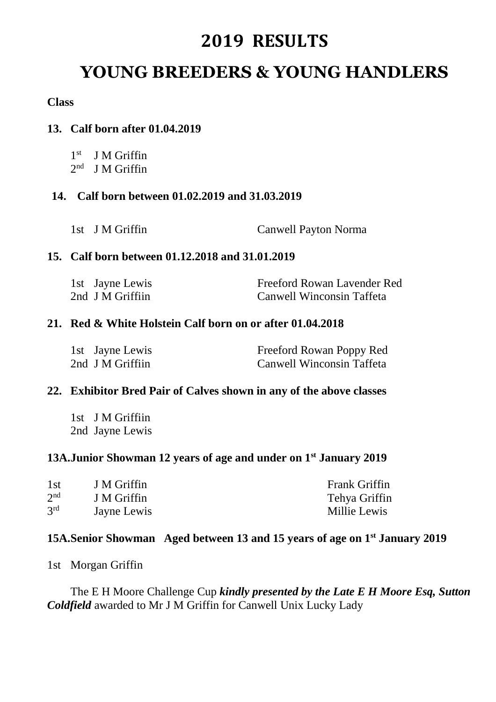### **YOUNG BREEDERS & YOUNG HANDLERS**

#### **Class**

### **13. Calf born after 01.04.2019**

| J M Griffin |
|-------------|
|             |

2<sup>nd</sup> J M Griffin

#### **14. Calf born between 01.02.2019 and 31.03.2019**

1st J M Griffin Canwell Payton Norma

#### **15. Calf born between 01.12.2018 and 31.01.2019**

| 1st Jayne Lewis  | Freeford Rowan Lavender Red |
|------------------|-----------------------------|
| 2nd J M Griffiin | Canwell Winconsin Taffeta   |

#### **21. Red & White Holstein Calf born on or after 01.04.2018**

| 1st Jayne Lewis  | Freeford Rowan Poppy Red         |
|------------------|----------------------------------|
| 2nd J M Griffiin | <b>Canwell Winconsin Taffeta</b> |

#### **22. Exhibitor Bred Pair of Calves shown in any of the above classes**

1st J M Griffiin 2nd Jayne Lewis

### **13A.Junior Showman 12 years of age and under on 1st January 2019**

| 1st             | J M Griffin | <b>Frank Griffin</b> |
|-----------------|-------------|----------------------|
| 2 <sup>nd</sup> | J M Griffin | Tehya Griffin        |
| 3 <sup>rd</sup> | Jayne Lewis | Millie Lewis         |

#### **15A.Senior Showman Aged between 13 and 15 years of age on 1st January 2019**

1st Morgan Griffin

The E H Moore Challenge Cup *kindly presented by the Late E H Moore Esq, Sutton Coldfield* awarded to Mr J M Griffin for Canwell Unix Lucky Lady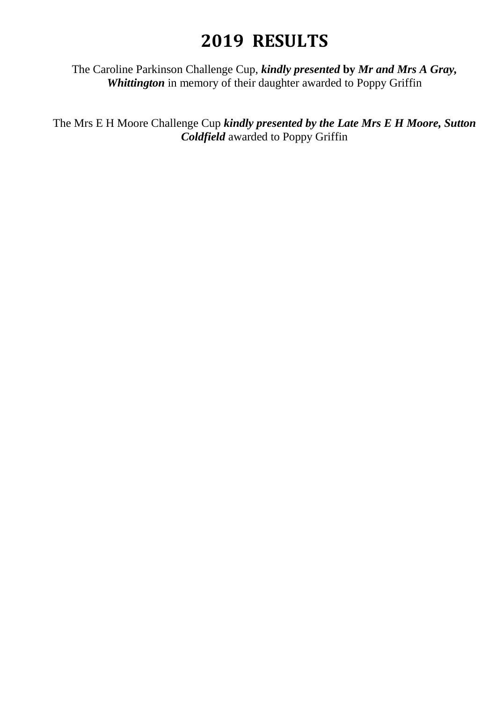The Caroline Parkinson Challenge Cup, *kindly presented* **by** *Mr and Mrs A Gray,*  **Whittington** in memory of their daughter awarded to Poppy Griffin

The Mrs E H Moore Challenge Cup *kindly presented by the Late Mrs E H Moore, Sutton Coldfield* awarded to Poppy Griffin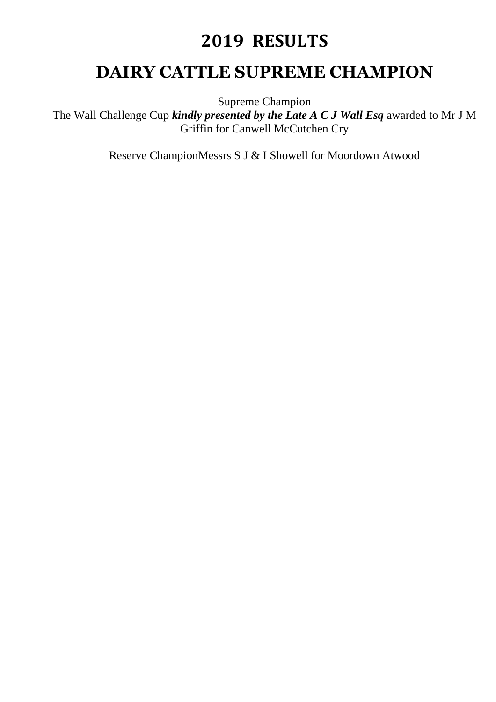### **DAIRY CATTLE SUPREME CHAMPION**

Supreme Champion

The Wall Challenge Cup *kindly presented by the Late A C J Wall Esq* awarded to Mr J M Griffin for Canwell McCutchen Cry

Reserve ChampionMessrs S J & I Showell for Moordown Atwood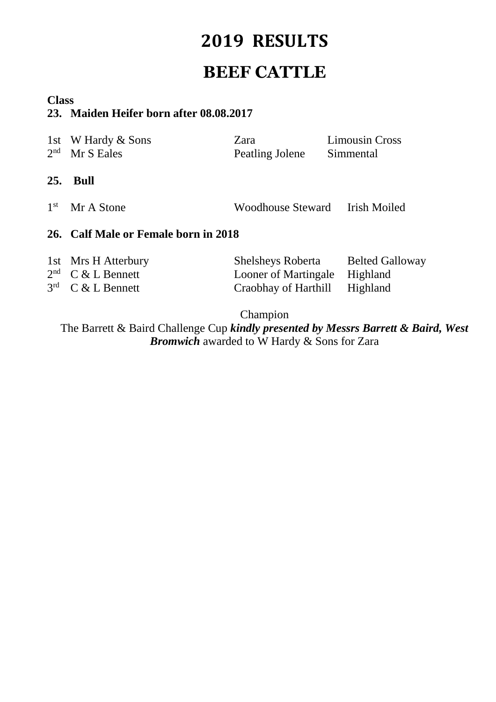### **BEEF CATTLE**

### **Class**

### **23. Maiden Heifer born after 08.08.2017**

| 1st<br>2 <sub>nd</sub>             | W Hardy & Sons<br>Mr S Eales                              | Zara<br>Peatling Jolene                                                  | <b>Limousin Cross</b><br>Simmental             |
|------------------------------------|-----------------------------------------------------------|--------------------------------------------------------------------------|------------------------------------------------|
| 25.                                | <b>Bull</b>                                               |                                                                          |                                                |
| 1 <sup>st</sup>                    | Mr A Stone                                                | <b>Woodhouse Steward</b>                                                 | Irish Moiled                                   |
|                                    | 26. Calf Male or Female born in 2018                      |                                                                          |                                                |
| 2 <sup>nd</sup><br>3 <sup>rd</sup> | 1st Mrs H Atterbury<br>$C & L$ Bennett<br>$C & L$ Bennett | <b>Shelsheys Roberta</b><br>Looner of Martingale<br>Craobhay of Harthill | <b>Belted Galloway</b><br>Highland<br>Highland |

Champion

The Barrett & Baird Challenge Cup *kindly presented by Messrs Barrett & Baird, West Bromwich* awarded to W Hardy & Sons for Zara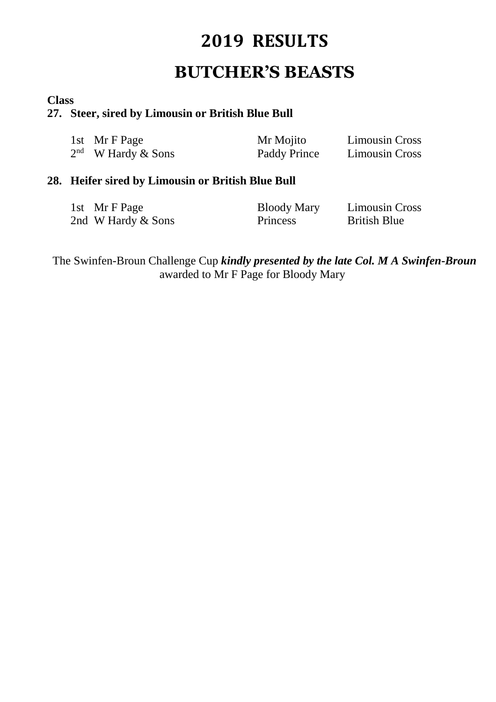## **BUTCHER'S BEASTS**

#### **Class**

#### **27. Steer, sired by Limousin or British Blue Bull**

| 1st Mr F Page        | Mr Mojito    | <b>Limousin Cross</b> |
|----------------------|--------------|-----------------------|
| $2nd$ W Hardy & Sons | Paddy Prince | <b>Limousin Cross</b> |

### **28. Heifer sired by Limousin or British Blue Bull**

| 1st Mr F Page      | <b>Bloody Mary</b> | <b>Limousin Cross</b> |
|--------------------|--------------------|-----------------------|
| 2nd W Hardy & Sons | <b>Princess</b>    | <b>British Blue</b>   |

The Swinfen-Broun Challenge Cup *kindly presented by the late Col. M A Swinfen-Broun*  awarded to Mr F Page for Bloody Mary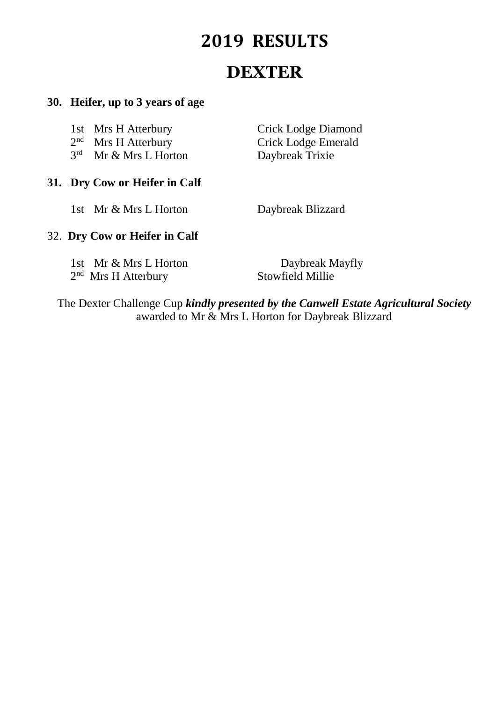## **DEXTER**

### **30. Heifer, up to 3 years of age**

|  | 31. Dry Cow or Heifer in Calf |                     |
|--|-------------------------------|---------------------|
|  | $3rd$ Mr & Mrs L Horton       | Daybreak Trixie     |
|  | $2nd$ Mrs H Atterbury         | Crick Lodge Emerald |
|  | 1st Mrs H Atterbury           | Crick Lodge Diamond |

1st Mr & Mrs L Horton Daybreak Blizzard

### 32. **Dry Cow or Heifer in Calf**

| 1st Mr & Mrs L Horton |
|-----------------------|
| $2nd$ Mrs H Atterbury |

Daybreak Mayfly Stowfield Millie

The Dexter Challenge Cup *kindly presented by the Canwell Estate Agricultural Society*  awarded to Mr & Mrs L Horton for Daybreak Blizzard